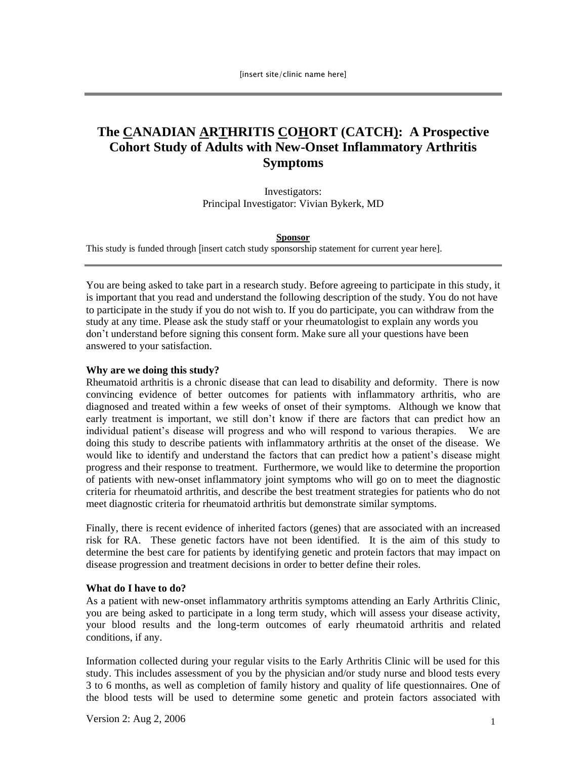# **The CANADIAN ARTHRITIS COHORT (CATCH): A Prospective Cohort Study of Adults with New-Onset Inflammatory Arthritis Symptoms**

Investigators: Principal Investigator: Vivian Bykerk, MD

#### **Sponsor**

This study is funded through [insert catch study sponsorship statement for current year here].

You are being asked to take part in a research study. Before agreeing to participate in this study, it is important that you read and understand the following description of the study. You do not have to participate in the study if you do not wish to. If you do participate, you can withdraw from the study at any time. Please ask the study staff or your rheumatologist to explain any words you don't understand before signing this consent form. Make sure all your questions have been answered to your satisfaction.

#### **Why are we doing this study?**

Rheumatoid arthritis is a chronic disease that can lead to disability and deformity. There is now convincing evidence of better outcomes for patients with inflammatory arthritis, who are diagnosed and treated within a few weeks of onset of their symptoms. Although we know that early treatment is important, we still don't know if there are factors that can predict how an individual patient's disease will progress and who will respond to various therapies. We are doing this study to describe patients with inflammatory arthritis at the onset of the disease. We would like to identify and understand the factors that can predict how a patient's disease might progress and their response to treatment. Furthermore, we would like to determine the proportion of patients with new-onset inflammatory joint symptoms who will go on to meet the diagnostic criteria for rheumatoid arthritis, and describe the best treatment strategies for patients who do not meet diagnostic criteria for rheumatoid arthritis but demonstrate similar symptoms.

Finally, there is recent evidence of inherited factors (genes) that are associated with an increased risk for RA. These genetic factors have not been identified. It is the aim of this study to determine the best care for patients by identifying genetic and protein factors that may impact on disease progression and treatment decisions in order to better define their roles.

#### **What do I have to do?**

As a patient with new-onset inflammatory arthritis symptoms attending an Early Arthritis Clinic, you are being asked to participate in a long term study, which will assess your disease activity, your blood results and the long-term outcomes of early rheumatoid arthritis and related conditions, if any.

Information collected during your regular visits to the Early Arthritis Clinic will be used for this study. This includes assessment of you by the physician and/or study nurse and blood tests every 3 to 6 months, as well as completion of family history and quality of life questionnaires. One of the blood tests will be used to determine some genetic and protein factors associated with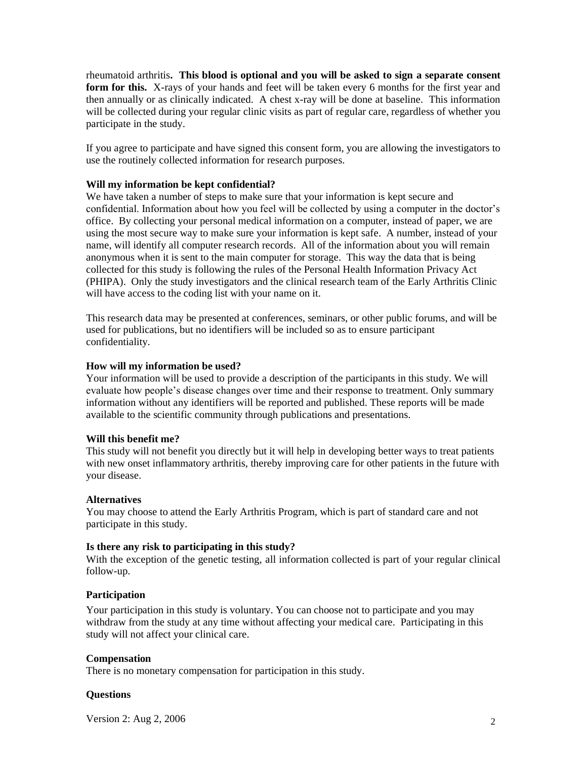rheumatoid arthritis**. This blood is optional and you will be asked to sign a separate consent**  form for this. X-rays of your hands and feet will be taken every 6 months for the first year and then annually or as clinically indicated. A chest x-ray will be done at baseline. This information will be collected during your regular clinic visits as part of regular care, regardless of whether you participate in the study.

If you agree to participate and have signed this consent form, you are allowing the investigators to use the routinely collected information for research purposes.

## **Will my information be kept confidential?**

We have taken a number of steps to make sure that your information is kept secure and confidential. Information about how you feel will be collected by using a computer in the doctor's office. By collecting your personal medical information on a computer, instead of paper, we are using the most secure way to make sure your information is kept safe. A number, instead of your name, will identify all computer research records. All of the information about you will remain anonymous when it is sent to the main computer for storage. This way the data that is being collected for this study is following the rules of the Personal Health Information Privacy Act (PHIPA). Only the study investigators and the clinical research team of the Early Arthritis Clinic will have access to the coding list with your name on it.

This research data may be presented at conferences, seminars, or other public forums, and will be used for publications, but no identifiers will be included so as to ensure participant confidentiality.

#### **How will my information be used?**

Your information will be used to provide a description of the participants in this study. We will evaluate how people's disease changes over time and their response to treatment. Only summary information without any identifiers will be reported and published. These reports will be made available to the scientific community through publications and presentations.

## **Will this benefit me?**

This study will not benefit you directly but it will help in developing better ways to treat patients with new onset inflammatory arthritis, thereby improving care for other patients in the future with your disease.

## **Alternatives**

You may choose to attend the Early Arthritis Program, which is part of standard care and not participate in this study.

#### **Is there any risk to participating in this study?**

With the exception of the genetic testing, all information collected is part of your regular clinical follow-up.

## **Participation**

Your participation in this study is voluntary. You can choose not to participate and you may withdraw from the study at any time without affecting your medical care. Participating in this study will not affect your clinical care.

## **Compensation**

There is no monetary compensation for participation in this study.

## **Questions**

Version 2: Aug 2, 2006 2